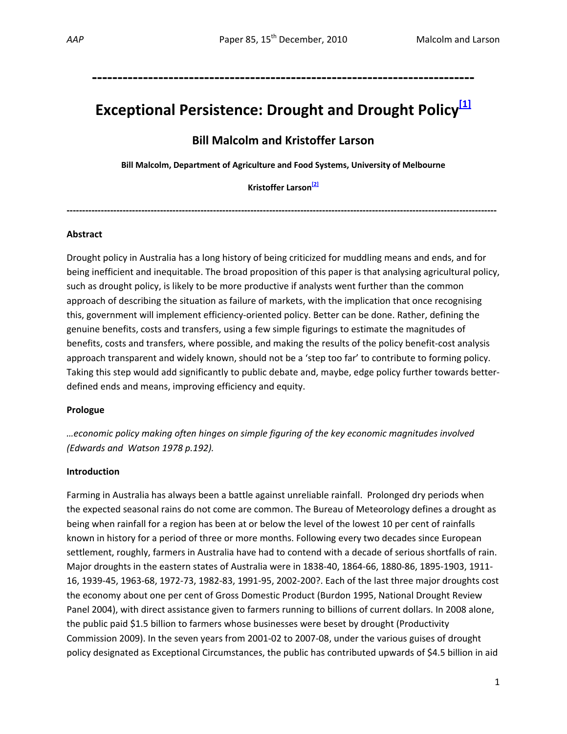## **‐‐‐‐‐‐‐‐‐‐‐‐‐‐‐‐‐‐‐‐‐‐‐‐‐‐‐‐‐‐‐‐‐‐‐‐‐‐‐‐‐‐‐‐‐‐‐‐‐‐‐‐‐‐‐‐‐‐‐‐‐‐‐‐‐‐‐‐‐‐‐‐‐‐‐**

# **Exceptional Persistence: Drought and Drought Policy[1]**

## **Bill Malcolm and Kristoffer Larson**

**Bill Malcolm, Department of Agriculture and Food Systems, University of Melbourne**

**Kristoffer Larson[2]**

**‐‐‐‐‐‐‐‐‐‐‐‐‐‐‐‐‐‐‐‐‐‐‐‐‐‐‐‐‐‐‐‐‐‐‐‐‐‐‐‐‐‐‐‐‐‐‐‐‐‐‐‐‐‐‐‐‐‐‐‐‐‐‐‐‐‐‐‐‐‐‐‐‐‐‐‐‐‐‐‐‐‐‐‐‐‐‐‐‐‐‐‐‐‐‐‐‐‐‐‐‐‐‐‐‐‐‐‐‐‐‐‐‐‐‐‐‐‐‐‐‐‐‐‐‐‐‐‐‐‐‐‐‐‐‐‐‐‐** 

## **Abstract**

Drought policy in Australia has a long history of being criticized for muddling means and ends, and for being inefficient and inequitable. The broad proposition of this paper is that analysing agricultural policy, such as drought policy, is likely to be more productive if analysts went further than the common approach of describing the situation as failure of markets, with the implication that once recognising this, government will implement efficiency‐oriented policy. Better can be done. Rather, defining the genuine benefits, costs and transfers, using a few simple figurings to estimate the magnitudes of benefits, costs and transfers, where possible, and making the results of the policy benefit‐cost analysis approach transparent and widely known, should not be a 'step too far' to contribute to forming policy. Taking this step would add significantly to public debate and, maybe, edge policy further towards better‐ defined ends and means, improving efficiency and equity.

## **Prologue**

*…economic policy making often hinges on simple figuring of the key economic magnitudes involved (Edwards and Watson 1978 p.192).*

## **Introduction**

Farming in Australia has always been a battle against unreliable rainfall. Prolonged dry periods when the expected seasonal rains do not come are common. The Bureau of Meteorology defines a drought as being when rainfall for a region has been at or below the level of the lowest 10 per cent of rainfalls known in history for a period of three or more months. Following every two decades since European settlement, roughly, farmers in Australia have had to contend with a decade of serious shortfalls of rain. Major droughts in the eastern states of Australia were in 1838‐40, 1864‐66, 1880‐86, 1895‐1903, 1911‐ 16, 1939‐45, 1963‐68, 1972‐73, 1982‐83, 1991‐95, 2002‐200?. Each of the last three major droughts cost the economy about one per cent of Gross Domestic Product (Burdon 1995, National Drought Review Panel 2004), with direct assistance given to farmers running to billions of current dollars. In 2008 alone, the public paid \$1.5 billion to farmers whose businesses were beset by drought (Productivity Commission 2009). In the seven years from 2001‐02 to 2007‐08, under the various guises of drought policy designated as Exceptional Circumstances, the public has contributed upwards of \$4.5 billion in aid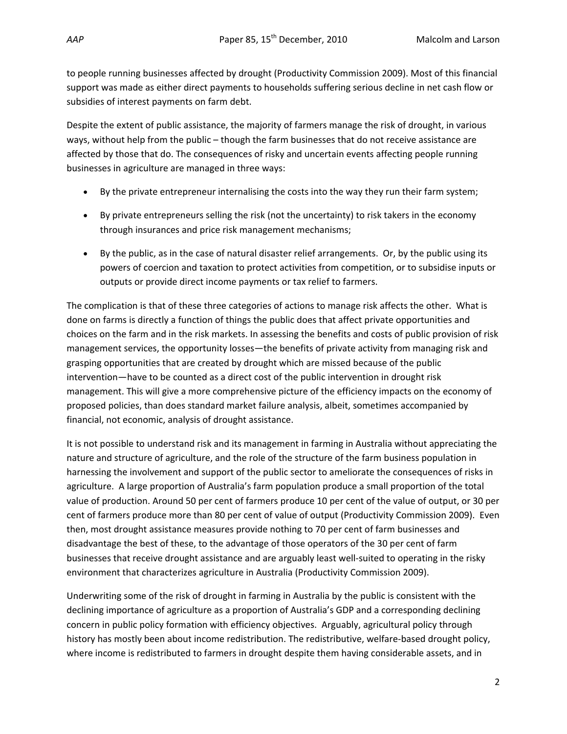to people running businesses affected by drought (Productivity Commission 2009). Most of this financial support was made as either direct payments to households suffering serious decline in net cash flow or subsidies of interest payments on farm debt.

Despite the extent of public assistance, the majority of farmers manage the risk of drought, in various ways, without help from the public – though the farm businesses that do not receive assistance are affected by those that do. The consequences of risky and uncertain events affecting people running businesses in agriculture are managed in three ways:

- By the private entrepreneur internalising the costs into the way they run their farm system;
- By private entrepreneurs selling the risk (not the uncertainty) to risk takers in the economy through insurances and price risk management mechanisms;
- By the public, as in the case of natural disaster relief arrangements. Or, by the public using its powers of coercion and taxation to protect activities from competition, or to subsidise inputs or outputs or provide direct income payments or tax relief to farmers.

The complication is that of these three categories of actions to manage risk affects the other. What is done on farms is directly a function of things the public does that affect private opportunities and choices on the farm and in the risk markets. In assessing the benefits and costs of public provision of risk management services, the opportunity losses—the benefits of private activity from managing risk and grasping opportunities that are created by drought which are missed because of the public intervention—have to be counted as a direct cost of the public intervention in drought risk management. This will give a more comprehensive picture of the efficiency impacts on the economy of proposed policies, than does standard market failure analysis, albeit, sometimes accompanied by financial, not economic, analysis of drought assistance.

It is not possible to understand risk and its management in farming in Australia without appreciating the nature and structure of agriculture, and the role of the structure of the farm business population in harnessing the involvement and support of the public sector to ameliorate the consequences of risks in agriculture. A large proportion of Australia's farm population produce a small proportion of the total value of production. Around 50 per cent of farmers produce 10 per cent of the value of output, or 30 per cent of farmers produce more than 80 per cent of value of output (Productivity Commission 2009). Even then, most drought assistance measures provide nothing to 70 per cent of farm businesses and disadvantage the best of these, to the advantage of those operators of the 30 per cent of farm businesses that receive drought assistance and are arguably least well‐suited to operating in the risky environment that characterizes agriculture in Australia (Productivity Commission 2009).

Underwriting some of the risk of drought in farming in Australia by the public is consistent with the declining importance of agriculture as a proportion of Australia's GDP and a corresponding declining concern in public policy formation with efficiency objectives. Arguably, agricultural policy through history has mostly been about income redistribution. The redistributive, welfare-based drought policy, where income is redistributed to farmers in drought despite them having considerable assets, and in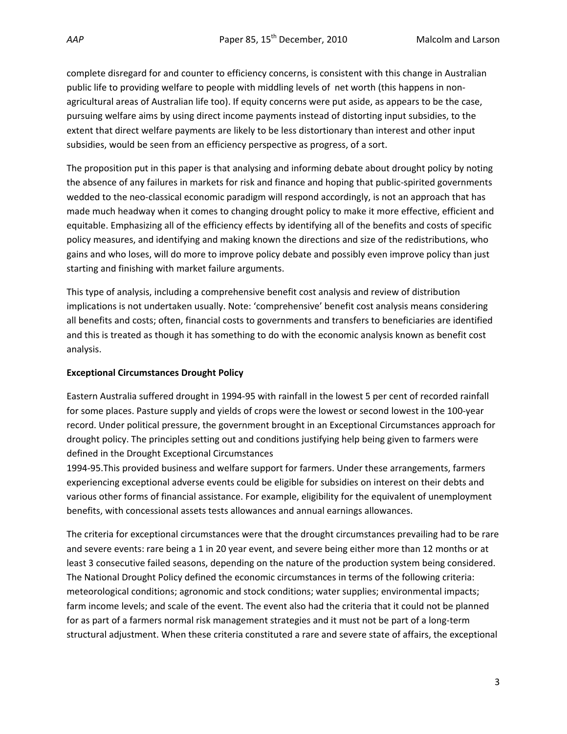complete disregard for and counter to efficiency concerns, is consistent with this change in Australian public life to providing welfare to people with middling levels of net worth (this happens in non‐ agricultural areas of Australian life too). If equity concerns were put aside, as appears to be the case, pursuing welfare aims by using direct income payments instead of distorting input subsidies, to the extent that direct welfare payments are likely to be less distortionary than interest and other input subsidies, would be seen from an efficiency perspective as progress, of a sort.

The proposition put in this paper is that analysing and informing debate about drought policy by noting the absence of any failures in markets for risk and finance and hoping that public‐spirited governments wedded to the neo-classical economic paradigm will respond accordingly, is not an approach that has made much headway when it comes to changing drought policy to make it more effective, efficient and equitable. Emphasizing all of the efficiency effects by identifying all of the benefits and costs of specific policy measures, and identifying and making known the directions and size of the redistributions, who gains and who loses, will do more to improve policy debate and possibly even improve policy than just starting and finishing with market failure arguments.

This type of analysis, including a comprehensive benefit cost analysis and review of distribution implications is not undertaken usually. Note: 'comprehensive' benefit cost analysis means considering all benefits and costs; often, financial costs to governments and transfers to beneficiaries are identified and this is treated as though it has something to do with the economic analysis known as benefit cost analysis.

## **Exceptional Circumstances Drought Policy**

Eastern Australia suffered drought in 1994‐95 with rainfall in the lowest 5 per cent of recorded rainfall for some places. Pasture supply and yields of crops were the lowest or second lowest in the 100‐year record. Under political pressure, the government brought in an Exceptional Circumstances approach for drought policy. The principles setting out and conditions justifying help being given to farmers were defined in the Drought Exceptional Circumstances

1994‐95.This provided business and welfare support for farmers. Under these arrangements, farmers experiencing exceptional adverse events could be eligible for subsidies on interest on their debts and various other forms of financial assistance. For example, eligibility for the equivalent of unemployment benefits, with concessional assets tests allowances and annual earnings allowances.

The criteria for exceptional circumstances were that the drought circumstances prevailing had to be rare and severe events: rare being a 1 in 20 year event, and severe being either more than 12 months or at least 3 consecutive failed seasons, depending on the nature of the production system being considered. The National Drought Policy defined the economic circumstances in terms of the following criteria: meteorological conditions; agronomic and stock conditions; water supplies; environmental impacts; farm income levels; and scale of the event. The event also had the criteria that it could not be planned for as part of a farmers normal risk management strategies and it must not be part of a long-term structural adjustment. When these criteria constituted a rare and severe state of affairs, the exceptional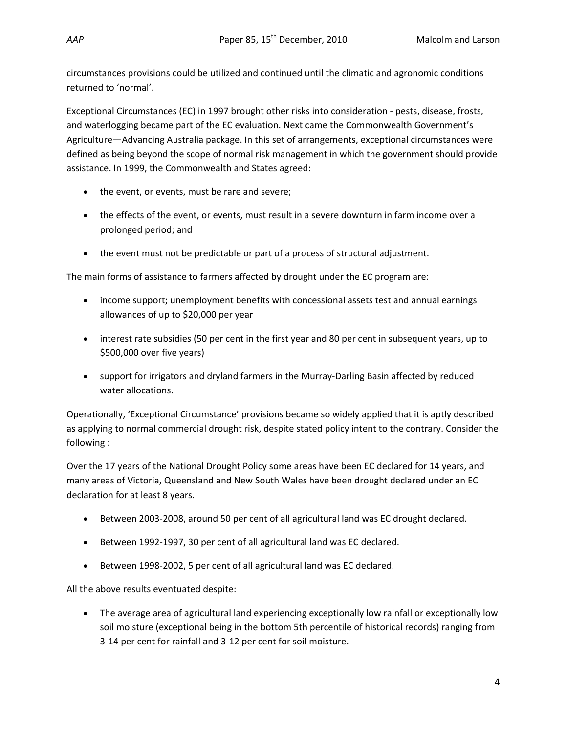circumstances provisions could be utilized and continued until the climatic and agronomic conditions returned to 'normal'.

Exceptional Circumstances (EC) in 1997 brought other risks into consideration ‐ pests, disease, frosts, and waterlogging became part of the EC evaluation. Next came the Commonwealth Government's Agriculture—Advancing Australia package. In this set of arrangements, exceptional circumstances were defined as being beyond the scope of normal risk management in which the government should provide assistance. In 1999, the Commonwealth and States agreed:

- the event, or events, must be rare and severe;
- the effects of the event, or events, must result in a severe downturn in farm income over a prolonged period; and
- the event must not be predictable or part of a process of structural adjustment.

The main forms of assistance to farmers affected by drought under the EC program are:

- income support; unemployment benefits with concessional assets test and annual earnings allowances of up to \$20,000 per year
- interest rate subsidies (50 per cent in the first year and 80 per cent in subsequent years, up to \$500,000 over five years)
- support for irrigators and dryland farmers in the Murray-Darling Basin affected by reduced water allocations.

Operationally, 'Exceptional Circumstance' provisions became so widely applied that it is aptly described as applying to normal commercial drought risk, despite stated policy intent to the contrary. Consider the following :

Over the 17 years of the National Drought Policy some areas have been EC declared for 14 years, and many areas of Victoria, Queensland and New South Wales have been drought declared under an EC declaration for at least 8 years.

- Between 2003‐2008, around 50 per cent of all agricultural land was EC drought declared.
- Between 1992-1997, 30 per cent of all agricultural land was EC declared.
- Between 1998‐2002, 5 per cent of all agricultural land was EC declared.

All the above results eventuated despite:

• The average area of agricultural land experiencing exceptionally low rainfall or exceptionally low soil moisture (exceptional being in the bottom 5th percentile of historical records) ranging from 3‐14 per cent for rainfall and 3‐12 per cent for soil moisture.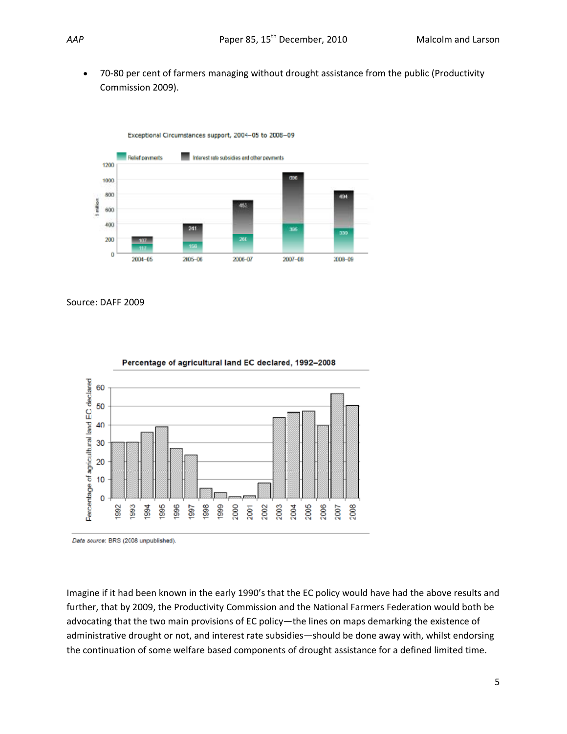• 70-80 per cent of farmers managing without drought assistance from the public (Productivity Commission 2009).



Source: DAFF 2009



Percentage of agricultural land EC declared, 1992-2008

Data source: BRS (2008 unpublished).

Imagine if it had been known in the early 1990's that the EC policy would have had the above results and further, that by 2009, the Productivity Commission and the National Farmers Federation would both be advocating that the two main provisions of EC policy—the lines on maps demarking the existence of administrative drought or not, and interest rate subsidies—should be done away with, whilst endorsing the continuation of some welfare based components of drought assistance for a defined limited time.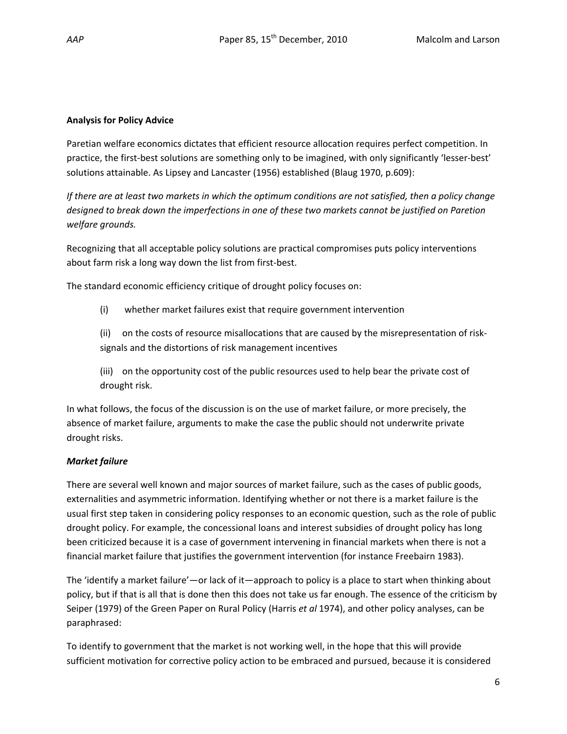## **Analysis for Policy Advice**

Paretian welfare economics dictates that efficient resource allocation requires perfect competition. In practice, the first‐best solutions are something only to be imagined, with only significantly 'lesser‐best' solutions attainable. As Lipsey and Lancaster (1956) established (Blaug 1970, p.609):

If there are at least two markets in which the optimum conditions are not satisfied, then a policy change *designed to break down the imperfections in one of these two markets cannot be justified on Paretion welfare grounds.*

Recognizing that all acceptable policy solutions are practical compromises puts policy interventions about farm risk a long way down the list from first-best.

The standard economic efficiency critique of drought policy focuses on:

(i) whether market failures exist that require government intervention

(ii) on the costs of resource misallocations that are caused by the misrepresentation of risksignals and the distortions of risk management incentives

(iii) on the opportunity cost of the public resources used to help bear the private cost of drought risk.

In what follows, the focus of the discussion is on the use of market failure, or more precisely, the absence of market failure, arguments to make the case the public should not underwrite private drought risks.

## *Market failure*

There are several well known and major sources of market failure, such as the cases of public goods, externalities and asymmetric information. Identifying whether or not there is a market failure is the usual first step taken in considering policy responses to an economic question, such as the role of public drought policy. For example, the concessional loans and interest subsidies of drought policy has long been criticized because it is a case of government intervening in financial markets when there is not a financial market failure that justifies the government intervention (for instance Freebairn 1983).

The 'identify a market failure'—or lack of it—approach to policy is a place to start when thinking about policy, but if that is all that is done then this does not take us far enough. The essence of the criticism by Seiper (1979) of the Green Paper on Rural Policy (Harris *et al* 1974), and other policy analyses, can be paraphrased:

To identify to government that the market is not working well, in the hope that this will provide sufficient motivation for corrective policy action to be embraced and pursued, because it is considered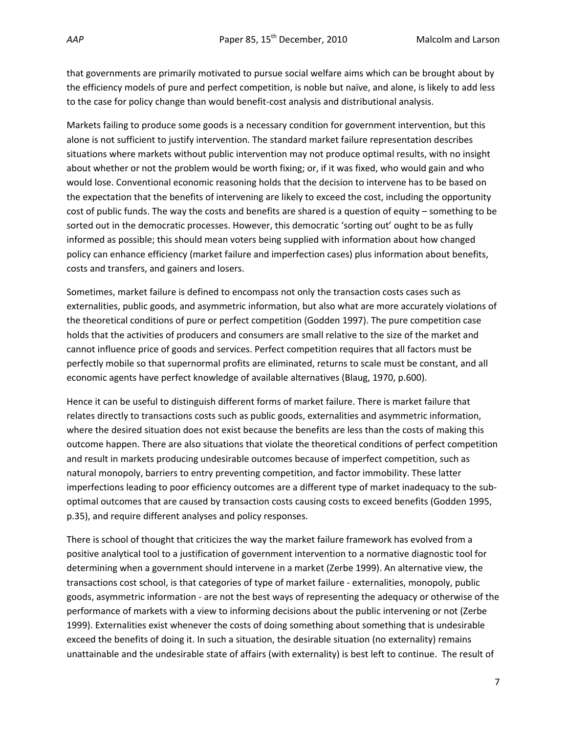that governments are primarily motivated to pursue social welfare aims which can be brought about by the efficiency models of pure and perfect competition, is noble but naïve, and alone, is likely to add less to the case for policy change than would benefit‐cost analysis and distributional analysis.

Markets failing to produce some goods is a necessary condition for government intervention, but this alone is not sufficient to justify intervention. The standard market failure representation describes situations where markets without public intervention may not produce optimal results, with no insight about whether or not the problem would be worth fixing; or, if it was fixed, who would gain and who would lose. Conventional economic reasoning holds that the decision to intervene has to be based on the expectation that the benefits of intervening are likely to exceed the cost, including the opportunity cost of public funds. The way the costs and benefits are shared is a question of equity – something to be sorted out in the democratic processes. However, this democratic 'sorting out' ought to be as fully informed as possible; this should mean voters being supplied with information about how changed policy can enhance efficiency (market failure and imperfection cases) plus information about benefits, costs and transfers, and gainers and losers.

Sometimes, market failure is defined to encompass not only the transaction costs cases such as externalities, public goods, and asymmetric information, but also what are more accurately violations of the theoretical conditions of pure or perfect competition (Godden 1997). The pure competition case holds that the activities of producers and consumers are small relative to the size of the market and cannot influence price of goods and services. Perfect competition requires that all factors must be perfectly mobile so that supernormal profits are eliminated, returns to scale must be constant, and all economic agents have perfect knowledge of available alternatives (Blaug, 1970, p.600).

Hence it can be useful to distinguish different forms of market failure. There is market failure that relates directly to transactions costs such as public goods, externalities and asymmetric information, where the desired situation does not exist because the benefits are less than the costs of making this outcome happen. There are also situations that violate the theoretical conditions of perfect competition and result in markets producing undesirable outcomes because of imperfect competition, such as natural monopoly, barriers to entry preventing competition, and factor immobility. These latter imperfections leading to poor efficiency outcomes are a different type of market inadequacy to the sub‐ optimal outcomes that are caused by transaction costs causing costs to exceed benefits (Godden 1995, p.35), and require different analyses and policy responses.

There is school of thought that criticizes the way the market failure framework has evolved from a positive analytical tool to a justification of government intervention to a normative diagnostic tool for determining when a government should intervene in a market (Zerbe 1999). An alternative view, the transactions cost school, is that categories of type of market failure ‐ externalities, monopoly, public goods, asymmetric information ‐ are not the best ways of representing the adequacy or otherwise of the performance of markets with a view to informing decisions about the public intervening or not (Zerbe 1999). Externalities exist whenever the costs of doing something about something that is undesirable exceed the benefits of doing it. In such a situation, the desirable situation (no externality) remains unattainable and the undesirable state of affairs (with externality) is best left to continue. The result of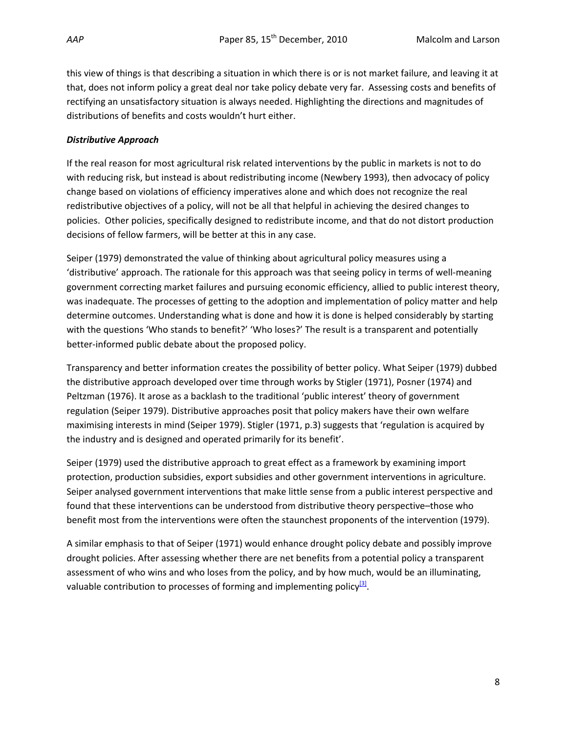this view of things is that describing a situation in which there is or is not market failure, and leaving it at that, does not inform policy a great deal nor take policy debate very far. Assessing costs and benefits of rectifying an unsatisfactory situation is always needed. Highlighting the directions and magnitudes of distributions of benefits and costs wouldn't hurt either.

## *Distributive Approach*

If the real reason for most agricultural risk related interventions by the public in markets is not to do with reducing risk, but instead is about redistributing income (Newbery 1993), then advocacy of policy change based on violations of efficiency imperatives alone and which does not recognize the real redistributive objectives of a policy, will not be all that helpful in achieving the desired changes to policies. Other policies, specifically designed to redistribute income, and that do not distort production decisions of fellow farmers, will be better at this in any case.

Seiper (1979) demonstrated the value of thinking about agricultural policy measures using a 'distributive' approach. The rationale for this approach was that seeing policy in terms of well‐meaning government correcting market failures and pursuing economic efficiency, allied to public interest theory, was inadequate. The processes of getting to the adoption and implementation of policy matter and help determine outcomes. Understanding what is done and how it is done is helped considerably by starting with the questions 'Who stands to benefit?' 'Who loses?' The result is a transparent and potentially better‐informed public debate about the proposed policy.

Transparency and better information creates the possibility of better policy. What Seiper (1979) dubbed the distributive approach developed over time through works by Stigler (1971), Posner (1974) and Peltzman (1976). It arose as a backlash to the traditional 'public interest' theory of government regulation (Seiper 1979). Distributive approaches posit that policy makers have their own welfare maximising interests in mind (Seiper 1979). Stigler (1971, p.3) suggests that 'regulation is acquired by the industry and is designed and operated primarily for its benefit'.

Seiper (1979) used the distributive approach to great effect as a framework by examining import protection, production subsidies, export subsidies and other government interventions in agriculture. Seiper analysed government interventions that make little sense from a public interest perspective and found that these interventions can be understood from distributive theory perspective–those who benefit most from the interventions were often the staunchest proponents of the intervention (1979).

A similar emphasis to that of Seiper (1971) would enhance drought policy debate and possibly improve drought policies. After assessing whether there are net benefits from a potential policy a transparent assessment of who wins and who loses from the policy, and by how much, would be an illuminating, valuable contribution to processes of forming and implementing policy $\frac{3}{2}$ .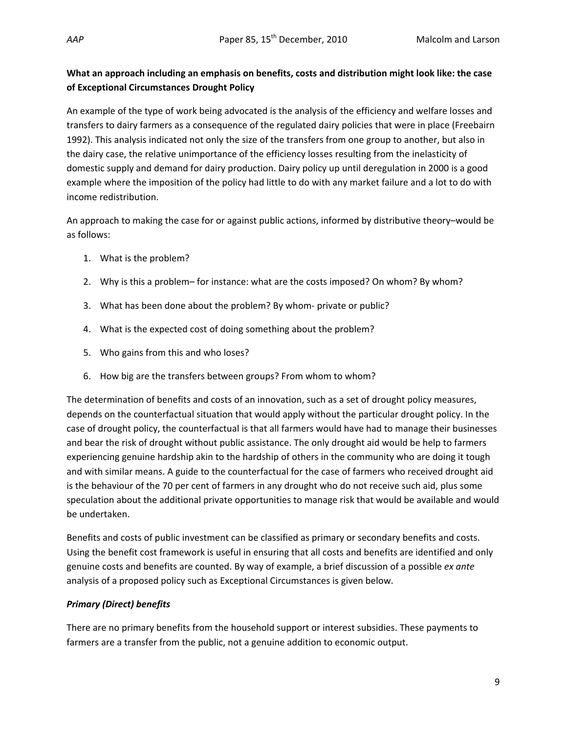## **What an approach including an emphasis on benefits, costs and distribution might look like: the case of Exceptional Circumstances Drought Policy**

An example of the type of work being advocated is the analysis of the efficiency and welfare losses and transfers to dairy farmers as a consequence of the regulated dairy policies that were in place (Freebairn 1992). This analysis indicated not only the size of the transfers from one group to another, but also in the dairy case, the relative unimportance of the efficiency losses resulting from the inelasticity of domestic supply and demand for dairy production. Dairy policy up until deregulation in 2000 is a good example where the imposition of the policy had little to do with any market failure and a lot to do with income redistribution.

An approach to making the case for or against public actions, informed by distributive theory–would be as follows:

- 1. What is the problem?
- 2. Why is this a problem– for instance: what are the costs imposed? On whom? By whom?
- 3. What has been done about the problem? By whom‐ private or public?
- 4. What is the expected cost of doing something about the problem?
- 5. Who gains from this and who loses?
- 6. How big are the transfers between groups? From whom to whom?

The determination of benefits and costs of an innovation, such as a set of drought policy measures, depends on the counterfactual situation that would apply without the particular drought policy. In the case of drought policy, the counterfactual is that all farmers would have had to manage their businesses and bear the risk of drought without public assistance. The only drought aid would be help to farmers experiencing genuine hardship akin to the hardship of others in the community who are doing it tough and with similar means. A guide to the counterfactual for the case of farmers who received drought aid is the behaviour of the 70 per cent of farmers in any drought who do not receive such aid, plus some speculation about the additional private opportunities to manage risk that would be available and would be undertaken.

Benefits and costs of public investment can be classified as primary or secondary benefits and costs. Using the benefit cost framework is useful in ensuring that all costs and benefits are identified and only genuine costs and benefits are counted. By way of example, a brief discussion of a possible *ex ante* analysis of a proposed policy such as Exceptional Circumstances is given below.

## *Primary (Direct) benefits*

There are no primary benefits from the household support or interest subsidies. These payments to farmers are a transfer from the public, not a genuine addition to economic output.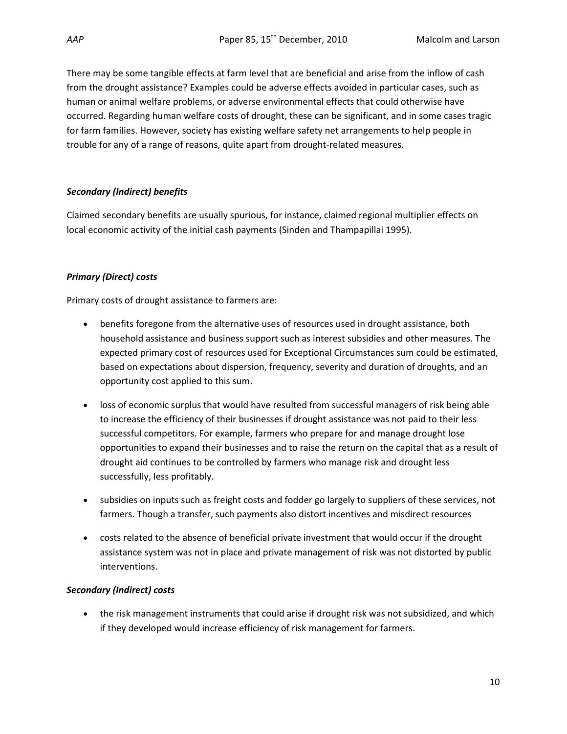There may be some tangible effects at farm level that are beneficial and arise from the inflow of cash from the drought assistance? Examples could be adverse effects avoided in particular cases, such as human or animal welfare problems, or adverse environmental effects that could otherwise have occurred. Regarding human welfare costs of drought, these can be significant, and in some cases tragic for farm families. However, society has existing welfare safety net arrangements to help people in trouble for any of a range of reasons, quite apart from drought‐related measures.

## *Secondary (Indirect) benefits*

Claimed secondary benefits are usually spurious, for instance, claimed regional multiplier effects on local economic activity of the initial cash payments (Sinden and Thampapillai 1995).

## *Primary (Direct) costs*

Primary costs of drought assistance to farmers are:

- benefits foregone from the alternative uses of resources used in drought assistance, both household assistance and business support such as interest subsidies and other measures. The expected primary cost of resources used for Exceptional Circumstances sum could be estimated, based on expectations about dispersion, frequency, severity and duration of droughts, and an opportunity cost applied to this sum.
- loss of economic surplus that would have resulted from successful managers of risk being able to increase the efficiency of their businesses if drought assistance was not paid to their less successful competitors. For example, farmers who prepare for and manage drought lose opportunities to expand their businesses and to raise the return on the capital that as a result of drought aid continues to be controlled by farmers who manage risk and drought less successfully, less profitably.
- subsidies on inputs such as freight costs and fodder go largely to suppliers of these services, not farmers. Though a transfer, such payments also distort incentives and misdirect resources
- costs related to the absence of beneficial private investment that would occur if the drought assistance system was not in place and private management of risk was not distorted by public interventions.

## *Secondary (Indirect) costs*

• the risk management instruments that could arise if drought risk was not subsidized, and which if they developed would increase efficiency of risk management for farmers.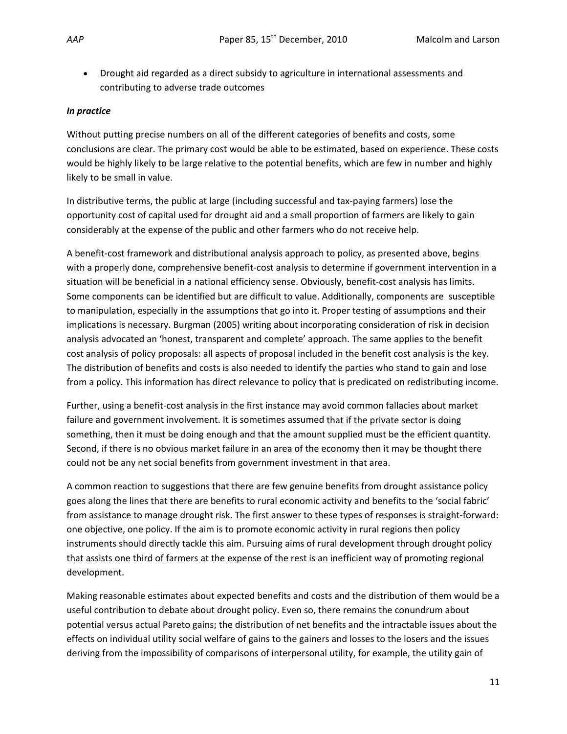• Drought aid regarded as a direct subsidy to agriculture in international assessments and contributing to adverse trade outcomes

## *In practice*

Without putting precise numbers on all of the different categories of benefits and costs, some conclusions are clear. The primary cost would be able to be estimated, based on experience. These costs would be highly likely to be large relative to the potential benefits, which are few in number and highly likely to be small in value.

In distributive terms, the public at large (including successful and tax-paying farmers) lose the opportunity cost of capital used for drought aid and a small proportion of farmers are likely to gain considerably at the expense of the public and other farmers who do not receive help.

A benefit-cost framework and distributional analysis approach to policy, as presented above, begins with a properly done, comprehensive benefit‐cost analysis to determine if government intervention in a situation will be beneficial in a national efficiency sense. Obviously, benefit‐cost analysis has limits. Some components can be identified but are difficult to value. Additionally, components are susceptible to manipulation, especially in the assumptions that go into it. Proper testing of assumptions and their implications is necessary. Burgman (2005) writing about incorporating consideration of risk in decision analysis advocated an 'honest, transparent and complete' approach. The same applies to the benefit cost analysis of policy proposals: all aspects of proposal included in the benefit cost analysis is the key. The distribution of benefits and costs is also needed to identify the parties who stand to gain and lose from a policy. This information has direct relevance to policy that is predicated on redistributing income.

Further, using a benefit-cost analysis in the first instance may avoid common fallacies about market failure and government involvement. It is sometimes assumed that if the private sector is doing something, then it must be doing enough and that the amount supplied must be the efficient quantity. Second, if there is no obvious market failure in an area of the economy then it may be thought there could not be any net social benefits from government investment in that area.

A common reaction to suggestions that there are few genuine benefits from drought assistance policy goes along the lines that there are benefits to rural economic activity and benefits to the 'social fabric' from assistance to manage drought risk. The first answer to these types of responses is straight-forward: one objective, one policy. If the aim is to promote economic activity in rural regions then policy instruments should directly tackle this aim. Pursuing aims of rural development through drought policy that assists one third of farmers at the expense of the rest is an inefficient way of promoting regional development.

Making reasonable estimates about expected benefits and costs and the distribution of them would be a useful contribution to debate about drought policy. Even so, there remains the conundrum about potential versus actual Pareto gains; the distribution of net benefits and the intractable issues about the effects on individual utility social welfare of gains to the gainers and losses to the losers and the issues deriving from the impossibility of comparisons of interpersonal utility, for example, the utility gain of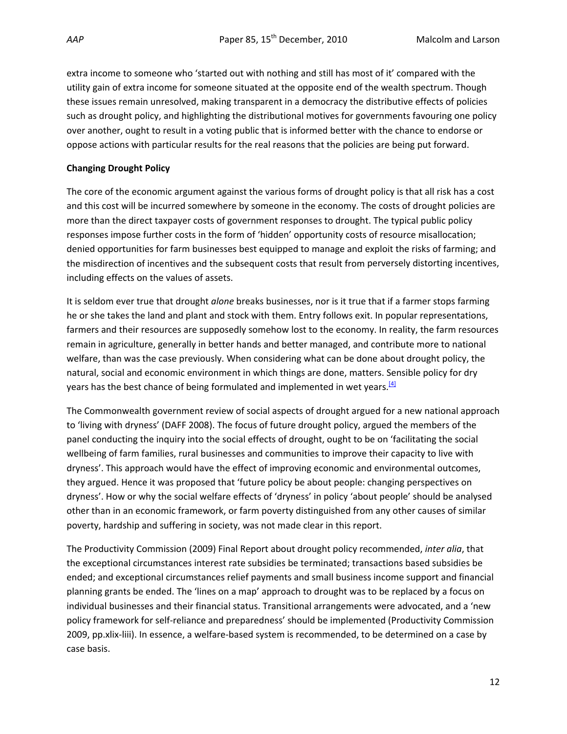extra income to someone who 'started out with nothing and still has most of it' compared with the utility gain of extra income for someone situated at the opposite end of the wealth spectrum. Though these issues remain unresolved, making transparent in a democracy the distributive effects of policies such as drought policy, and highlighting the distributional motives for governments favouring one policy over another, ought to result in a voting public that is informed better with the chance to endorse or oppose actions with particular results for the real reasons that the policies are being put forward.

## **Changing Drought Policy**

The core of the economic argument against the various forms of drought policy is that all risk has a cost and this cost will be incurred somewhere by someone in the economy. The costs of drought policies are more than the direct taxpayer costs of government responses to drought. The typical public policy responses impose further costs in the form of 'hidden' opportunity costs of resource misallocation; denied opportunities for farm businesses best equipped to manage and exploit the risks of farming; and the misdirection of incentives and the subsequent costs that result from perversely distorting incentives, including effects on the values of assets.

It is seldom ever true that drought *alone* breaks businesses, nor is it true that if a farmer stops farming he or she takes the land and plant and stock with them. Entry follows exit. In popular representations, farmers and their resources are supposedly somehow lost to the economy. In reality, the farm resources remain in agriculture, generally in better hands and better managed, and contribute more to national welfare, than was the case previously. When considering what can be done about drought policy, the natural, social and economic environment in which things are done, matters. Sensible policy for dry years has the best chance of being formulated and implemented in wet years.<sup>[4]</sup>

The Commonwealth government review of social aspects of drought argued for a new national approach to 'living with dryness' (DAFF 2008). The focus of future drought policy, argued the members of the panel conducting the inquiry into the social effects of drought, ought to be on 'facilitating the social wellbeing of farm families, rural businesses and communities to improve their capacity to live with dryness'. This approach would have the effect of improving economic and environmental outcomes, they argued. Hence it was proposed that 'future policy be about people: changing perspectives on dryness'. How or why the social welfare effects of 'dryness' in policy 'about people' should be analysed other than in an economic framework, or farm poverty distinguished from any other causes of similar poverty, hardship and suffering in society, was not made clear in this report.

The Productivity Commission (2009) Final Report about drought policy recommended, *inter alia*, that the exceptional circumstances interest rate subsidies be terminated; transactions based subsidies be ended; and exceptional circumstances relief payments and small business income support and financial planning grants be ended. The 'lines on a map' approach to drought was to be replaced by a focus on individual businesses and their financial status. Transitional arrangements were advocated, and a 'new policy framework for self‐reliance and preparedness' should be implemented (Productivity Commission 2009, pp.xlix‐liii). In essence, a welfare‐based system is recommended, to be determined on a case by case basis.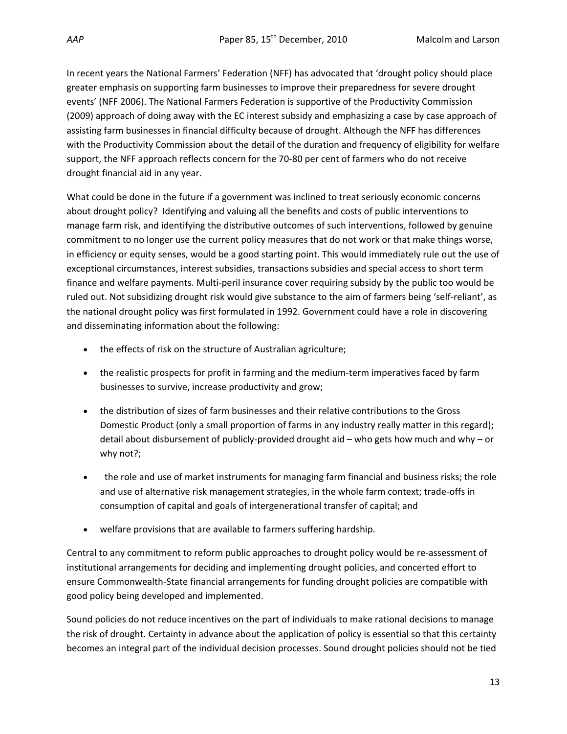In recent years the National Farmers' Federation (NFF) has advocated that 'drought policy should place greater emphasis on supporting farm businesses to improve their preparedness for severe drought events' (NFF 2006). The National Farmers Federation is supportive of the Productivity Commission (2009) approach of doing away with the EC interest subsidy and emphasizing a case by case approach of assisting farm businesses in financial difficulty because of drought. Although the NFF has differences with the Productivity Commission about the detail of the duration and frequency of eligibility for welfare support, the NFF approach reflects concern for the 70‐80 per cent of farmers who do not receive drought financial aid in any year.

What could be done in the future if a government was inclined to treat seriously economic concerns about drought policy? Identifying and valuing all the benefits and costs of public interventions to manage farm risk, and identifying the distributive outcomes of such interventions, followed by genuine commitment to no longer use the current policy measures that do not work or that make things worse, in efficiency or equity senses, would be a good starting point. This would immediately rule out the use of exceptional circumstances, interest subsidies, transactions subsidies and special access to short term finance and welfare payments. Multi-peril insurance cover requiring subsidy by the public too would be ruled out. Not subsidizing drought risk would give substance to the aim of farmers being 'self‐reliant', as the national drought policy was first formulated in 1992. Government could have a role in discovering and disseminating information about the following:

- the effects of risk on the structure of Australian agriculture;
- the realistic prospects for profit in farming and the medium-term imperatives faced by farm businesses to survive, increase productivity and grow;
- the distribution of sizes of farm businesses and their relative contributions to the Gross Domestic Product (only a small proportion of farms in any industry really matter in this regard); detail about disbursement of publicly‐provided drought aid – who gets how much and why – or why not?;
- the role and use of market instruments for managing farm financial and business risks; the role and use of alternative risk management strategies, in the whole farm context; trade‐offs in consumption of capital and goals of intergenerational transfer of capital; and
- welfare provisions that are available to farmers suffering hardship.

Central to any commitment to reform public approaches to drought policy would be re‐assessment of institutional arrangements for deciding and implementing drought policies, and concerted effort to ensure Commonwealth‐State financial arrangements for funding drought policies are compatible with good policy being developed and implemented.

Sound policies do not reduce incentives on the part of individuals to make rational decisions to manage the risk of drought. Certainty in advance about the application of policy is essential so that this certainty becomes an integral part of the individual decision processes. Sound drought policies should not be tied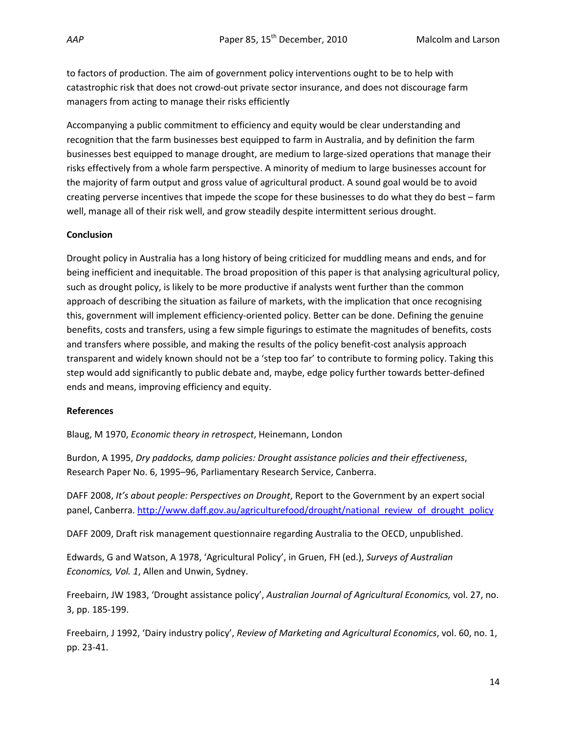to factors of production. The aim of government policy interventions ought to be to help with catastrophic risk that does not crowd‐out private sector insurance, and does not discourage farm managers from acting to manage their risks efficiently

Accompanying a public commitment to efficiency and equity would be clear understanding and recognition that the farm businesses best equipped to farm in Australia, and by definition the farm businesses best equipped to manage drought, are medium to large‐sized operations that manage their risks effectively from a whole farm perspective. A minority of medium to large businesses account for the majority of farm output and gross value of agricultural product. A sound goal would be to avoid creating perverse incentives that impede the scope for these businesses to do what they do best – farm well, manage all of their risk well, and grow steadily despite intermittent serious drought.

## **Conclusion**

Drought policy in Australia has a long history of being criticized for muddling means and ends, and for being inefficient and inequitable. The broad proposition of this paper is that analysing agricultural policy, such as drought policy, is likely to be more productive if analysts went further than the common approach of describing the situation as failure of markets, with the implication that once recognising this, government will implement efficiency‐oriented policy. Better can be done. Defining the genuine benefits, costs and transfers, using a few simple figurings to estimate the magnitudes of benefits, costs and transfers where possible, and making the results of the policy benefit‐cost analysis approach transparent and widely known should not be a 'step too far' to contribute to forming policy. Taking this step would add significantly to public debate and, maybe, edge policy further towards better‐defined ends and means, improving efficiency and equity.

## **References**

Blaug, M 1970, *Economic theory in retrospect*, Heinemann, London

Burdon, A 1995, *Dry paddocks, damp policies: Drought assistance policies and their effectiveness*, Research Paper No. 6, 1995–96, Parliamentary Research Service, Canberra.

DAFF 2008, *It's about people: Perspectives on Drought*, Report to the Government by an expert social panel, Canberra. http://www.daff.gov.au/agriculturefood/drought/national\_review\_of\_drought\_policy

DAFF 2009, Draft risk management questionnaire regarding Australia to the OECD, unpublished.

Edwards, G and Watson, A 1978, 'Agricultural Policy', in Gruen, FH (ed.), *Surveys of Australian Economics, Vol. 1*, Allen and Unwin, Sydney.

Freebairn, JW 1983, 'Drought assistance policy', *Australian Journal of Agricultural Economics,* vol. 27, no. 3, pp. 185‐199.

Freebairn, J 1992, 'Dairy industry policy', *Review of Marketing and Agricultural Economics*, vol. 60, no. 1, pp. 23‐41.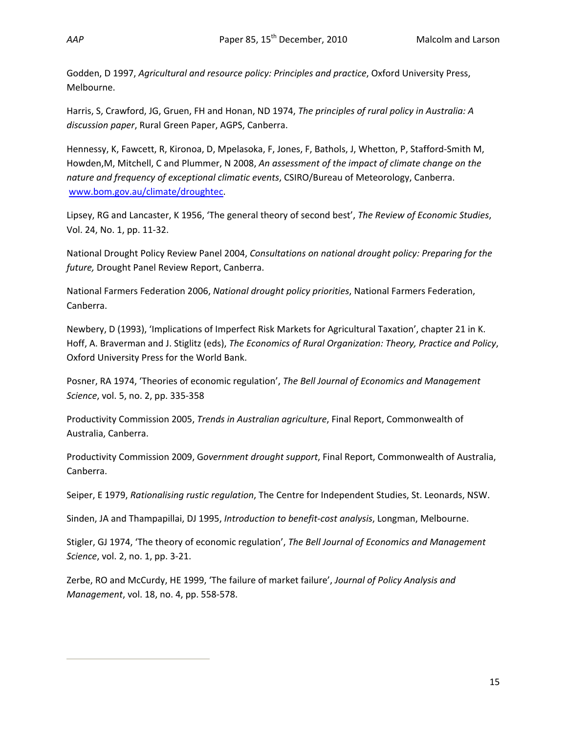Godden, D 1997, *Agricultural and resource policy: Principles and practice*, Oxford University Press, Melbourne.

Harris, S, Crawford, JG, Gruen, FH and Honan, ND 1974, *The principles of rural policy in Australia: A discussion paper*, Rural Green Paper, AGPS, Canberra.

Hennessy, K, Fawcett, R, Kironoa, D, Mpelasoka, F, Jones, F, Bathols, J, Whetton, P, Stafford‐Smith M, Howden,M, Mitchell, C and Plummer, N 2008, *An assessment of the impact of climate change on the nature and frequency of exceptional climatic events*, CSIRO/Bureau of Meteorology, Canberra. www.bom.gov.au/climate/droughtec.

Lipsey, RG and Lancaster, K 1956, 'The general theory of second best', *The Review of Economic Studies*, Vol. 24, No. 1, pp. 11‐32.

National Drought Policy Review Panel 2004, *Consultations on national drought policy: Preparing for the future,* Drought Panel Review Report, Canberra.

National Farmers Federation 2006, *National drought policy priorities*, National Farmers Federation, Canberra.

Newbery, D (1993), 'Implications of Imperfect Risk Markets for Agricultural Taxation', chapter 21 in K. Hoff, A. Braverman and J. Stiglitz (eds), *The Economics of Rural Organization: Theory, Practice and Policy*, Oxford University Press for the World Bank.

Posner, RA 1974, 'Theories of economic regulation', *The Bell Journal of Economics and Management Science*, vol. 5, no. 2, pp. 335‐358

Productivity Commission 2005, *Trends in Australian agriculture*, Final Report, Commonwealth of Australia, Canberra.

Productivity Commission 2009, G*overnment drought support*, Final Report, Commonwealth of Australia, Canberra.

Seiper, E 1979, *Rationalising rustic regulation*, The Centre for Independent Studies, St. Leonards, NSW.

Sinden, JA and Thampapillai, DJ 1995, *Introduction to benefit‐cost analysis*, Longman, Melbourne.

Stigler, GJ 1974, 'The theory of economic regulation', *The Bell Journal of Economics and Management Science*, vol. 2, no. 1, pp. 3‐21.

Zerbe, RO and McCurdy, HE 1999, 'The failure of market failure', *Journal of Policy Analysis and Management*, vol. 18, no. 4, pp. 558‐578.